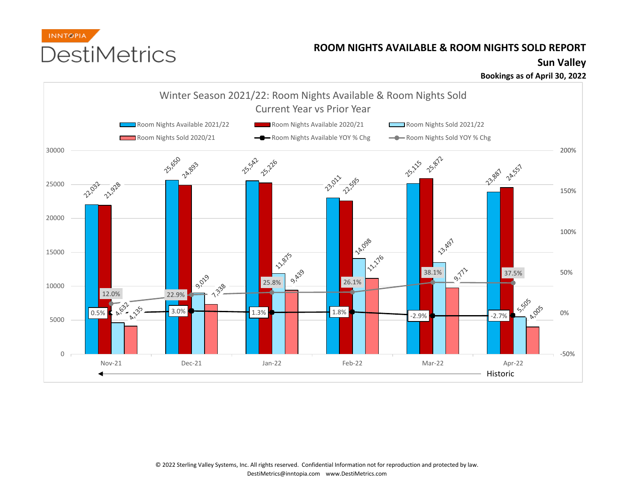

## **ROOM NIGHTS AVAILABLE & ROOM NIGHTS SOLD REPORT**

**Sun Valley**

**Bookings as of April 30, 2022**